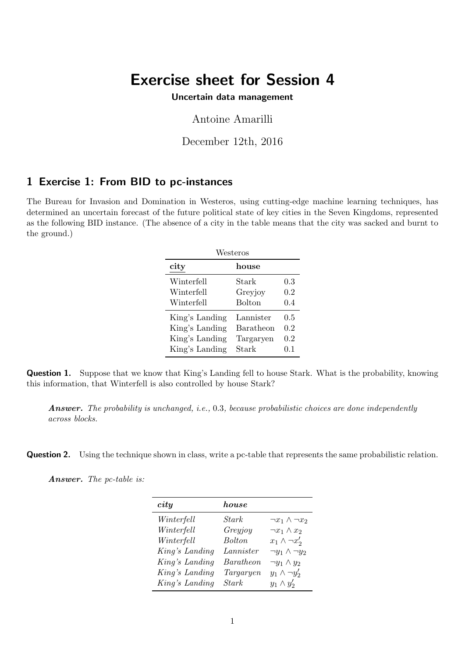# Exercise sheet for Session 4

Uncertain data management

Antoine Amarilli

December 12th, 2016

## 1 Exercise 1: From BID to pc-instances

The Bureau for Invasion and Domination in Westeros, using cutting-edge machine learning techniques, has determined an uncertain forecast of the future political state of key cities in the Seven Kingdoms, represented as the following BID instance. (The absence of a city in the table means that the city was sacked and burnt to the ground.)

| Westeros       |                  |         |  |
|----------------|------------------|---------|--|
| city           | house            |         |  |
| Winterfell     | Stark            | 0.3     |  |
| Winterfell     | Greyjoy          | $0.2\,$ |  |
| Winterfell     | <b>Bolton</b>    | 0.4     |  |
| King's Landing | Lannister        | 0.5     |  |
| King's Landing | <b>Baratheon</b> | 0.2     |  |
| King's Landing | Targaryen        | 0.2     |  |
| King's Landing | Stark            | 0.1     |  |

Question 1. Suppose that we know that King's Landing fell to house Stark. What is the probability, knowing this information, that Winterfell is also controlled by house Stark?

Answer. The probability is unchanged, i.e., 0.3, because probabilistic choices are done independently across blocks.

**Question 2.** Using the technique shown in class, write a pc-table that represents the same probabilistic relation.

Answer. The pc-table is:

| city           | house     |                            |
|----------------|-----------|----------------------------|
| Winterfell     | Stark     | $\neg x_1 \wedge \neg x_2$ |
| Winterfell     | Greyjoy   | $\neg x_1 \wedge x_2$      |
| Winterfell     | Bolton.   | $x_1 \wedge \neg x_2'$     |
| King's Landing | Lannister | $\neg y_1 \wedge \neg y_2$ |
| King's Landing | Baratheon | $\neg y_1 \wedge y_2$      |
| King's Landing | Targaryen | $y_1 \wedge \neg y_2'$     |
| King's Landing | Stark     | $y_1 \wedge y_2'$          |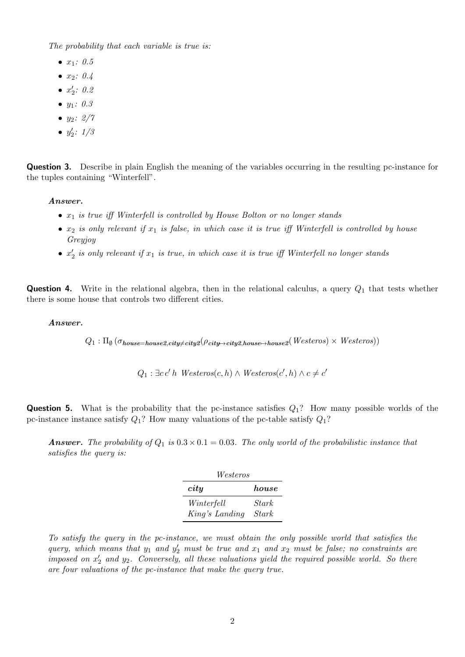The probability that each variable is true is:

- $x_1: 0.5$
- $x_2: 0.4$
- $x'_2$ : 0.2
- $y_1: 0.3$
- $y_2$ :  $2/7$
- $y'_2$ :  $1/3$

Question 3. Describe in plain English the meaning of the variables occurring in the resulting pc-instance for the tuples containing "Winterfell".

#### Answer.

- $x_1$  is true iff Winterfell is controlled by House Bolton or no longer stands
- $x_2$  is only relevant if  $x_1$  is false, in which case it is true iff Winterfell is controlled by house Greyjoy
- $x_2'$  is only relevant if  $x_1$  is true, in which case it is true iff Winterfell no longer stands

**Question 4.** Write in the relational algebra, then in the relational calculus, a query  $Q_1$  that tests whether there is some house that controls two different cities.

#### Answer.

 $Q_1: \Pi_\emptyset\left(\sigma_{house=house2, city \neq city2}(\rho_{city \rightarrow city2, house \rightarrow house2}(Westeros) \times Westeros)\right)$ 

 $Q_1$ :  $\exists c c' h$  Westeros $(c, h) \wedge$  Westeros $(c', h) \wedge c \neq c'$ 

**Question 5.** What is the probability that the pc-instance satisfies  $Q_1$ ? How many possible worlds of the pc-instance instance satisfy  $Q_1$ ? How many valuations of the pc-table satisfy  $Q_1$ ?

**Answer.** The probability of  $Q_1$  is  $0.3 \times 0.1 = 0.03$ . The only world of the probabilistic instance that satisfies the query is:

| Westeros       |              |  |  |
|----------------|--------------|--|--|
| city           | house        |  |  |
| Winterfell     | Stark        |  |  |
| King's Landing | <b>Stark</b> |  |  |

To satisfy the query in the pc-instance, we must obtain the only possible world that satisfies the query, which means that  $y_1$  and  $y_2'$  must be true and  $x_1$  and  $x_2$  must be false; no constraints are imposed on  $x_2'$  and  $y_2$ . Conversely, all these valuations yield the required possible world. So there are four valuations of the pc-instance that make the query true.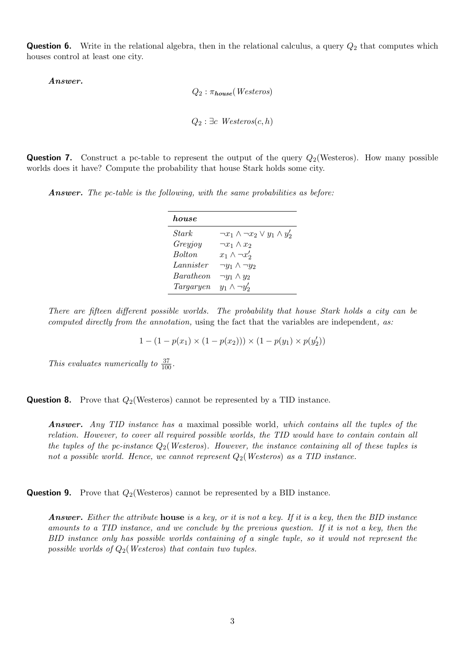**Question 6.** Write in the relational algebra, then in the relational calculus, a query  $Q_2$  that computes which houses control at least one city.

Answer.

 $Q_2$ :  $\pi_{house}(Westeros)$  $Q_2$ :  $\exists c \text{ } Westeros(c, h)$ 

**Question 7.** Construct a pc-table to represent the output of the query  $Q_2$ (Westeros). How many possible worlds does it have? Compute the probability that house Stark holds some city.

Answer. The pc-table is the following, with the same probabilities as before:

| h.ou.se          |                                                 |
|------------------|-------------------------------------------------|
| <i>Stark</i>     | $\neg x_1 \wedge \neg x_2 \vee y_1 \wedge y_2'$ |
| Greyjoy          | $\neg x_1 \wedge x_2$                           |
| <i>Bolton</i>    | $x_1 \wedge \neg x_2'$                          |
| Lannister        | $\neg y_1 \wedge \neg y_2$                      |
| <i>Baratheon</i> | $\neg y_1 \wedge y_2$                           |
| Targaryen        | $y_1 \wedge \neg y_2'$                          |

There are fifteen different possible worlds. The probability that house Stark holds a city can be computed directly from the annotation, using the fact that the variables are independent, as:

 $1 - (1 - p(x_1) \times (1 - p(x_2))) \times (1 - p(y_1) \times p(y_2'))$ 

This evaluates numerically to  $\frac{37}{100}$ .

**Question 8.** Prove that  $Q_2$ (Westeros) cannot be represented by a TID instance.

Answer. Any TID instance has a maximal possible world, which contains all the tuples of the relation. However, to cover all required possible worlds, the TID would have to contain contain all the tuples of the pc-instance  $Q_2$  (Westeros). However, the instance containing all of these tuples is not a possible world. Hence, we cannot represent  $Q_2$  (Westeros) as a TID instance.

**Question 9.** Prove that  $Q_2$ (Westeros) cannot be represented by a BID instance.

**Answer.** Either the attribute house is a key, or it is not a key. If it is a key, then the BID instance amounts to a TID instance, and we conclude by the previous question. If it is not a key, then the BID instance only has possible worlds containing of a single tuple, so it would not represent the possible worlds of  $Q_2$  (Westeros) that contain two tuples.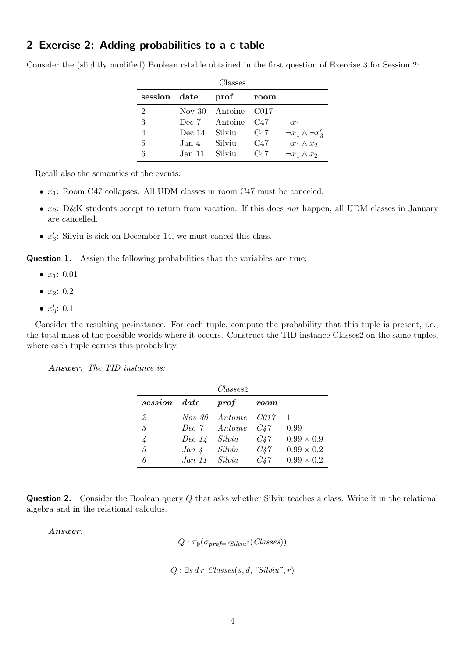### 2 Exercise 2: Adding probabilities to a c-table

Consider the (slightly modified) Boolean c-table obtained in the first question of Exercise 3 for Session 2:

| Classes        |               |                     |       |                             |
|----------------|---------------|---------------------|-------|-----------------------------|
| session date   |               | prof                | room  |                             |
| 2              |               | Nov 30 Antoine C017 |       |                             |
| 3              |               | Dec 7 Antoine       | - C47 | $\neg x_1$                  |
| $\overline{4}$ | Dec 14 Silviu |                     | C47   | $\neg x_1 \wedge \neg x_3'$ |
| 5              | Jan 4         | Silviu              | C47   | $\neg x_1 \wedge x_2$       |
| 6              | Jan 11 Silviu |                     | C47   | $\neg x_1 \wedge x_2$       |

Recall also the semantics of the events:

- $x_1$ : Room C47 collapses. All UDM classes in room C47 must be canceled.
- $x_2$ : D&K students accept to return from vacation. If this does not happen, all UDM classes in January are cancelled.
- $x'_3$ : Silviu is sick on December 14, we must cancel this class.

**Question 1.** Assign the following probabilities that the variables are true:

- $x_1: 0.01$
- $x_2: 0.2$
- $x'_3: 0.1$

Consider the resulting pc-instance. For each tuple, compute the probability that this tuple is present, i.e., the total mass of the possible worlds where it occurs. Construct the TID instance Classes2 on the same tuples, where each tuple carries this probability.

Answer. The TID instance is:

|               |               | $\mathit{Classes2}$ |          |                   |
|---------------|---------------|---------------------|----------|-------------------|
| session       | $\emph{date}$ | $\textit{prof}$     | room     |                   |
| 2             | <i>Nov</i> 30 | Antoine             | - C017   |                   |
| $\mathcal{S}$ | Dec $\gamma$  | Antoine             | C47      | 0.99              |
|               | Dec~14        | Silviu              | $C_{4}7$ | $0.99 \times 0.9$ |
| 5             | $Jan \, 4$    | Silviu              | $C_{4}7$ | $0.99 \times 0.2$ |
|               | Jan 11        | Silviu              | C47      | $0.99 \times 0.2$ |

**Question 2.** Consider the Boolean query Q that asks whether Silviu teaches a class. Write it in the relational algebra and in the relational calculus.

Answer.

```
Q: \pi_{\emptyset}(\sigma_{\textit{prof}\text{=}}\textit{``Silviu''}(Classes))
```
 $Q: \exists s \, dr \; Classes(s, d, "Silviu", r)$